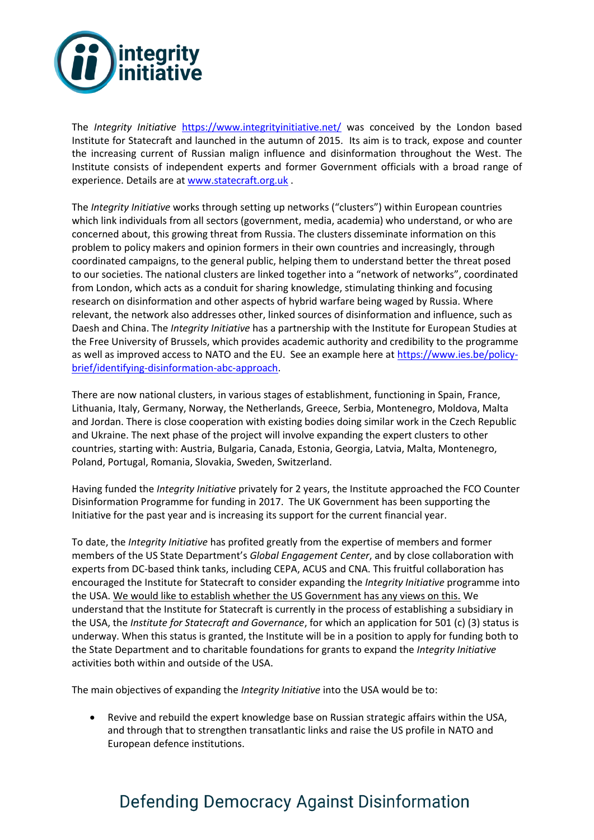

The *Integrity Initiative* <https://www.integrityinitiative.net/> was conceived by the London based Institute for Statecraft and launched in the autumn of 2015. Its aim is to track, expose and counter the increasing current of Russian malign influence and disinformation throughout the West. The Institute consists of independent experts and former Government officials with a broad range of experience. Details are at [www.statecraft.org.uk](http://www.statecraft.org.uk/) .

The *Integrity Initiative* works through setting up networks ("clusters") within European countries which link individuals from all sectors (government, media, academia) who understand, or who are concerned about, this growing threat from Russia. The clusters disseminate information on this problem to policy makers and opinion formers in their own countries and increasingly, through coordinated campaigns, to the general public, helping them to understand better the threat posed to our societies. The national clusters are linked together into a "network of networks", coordinated from London, which acts as a conduit for sharing knowledge, stimulating thinking and focusing research on disinformation and other aspects of hybrid warfare being waged by Russia. Where relevant, the network also addresses other, linked sources of disinformation and influence, such as Daesh and China. The *Integrity Initiative* has a partnership with the Institute for European Studies at the Free University of Brussels, which provides academic authority and credibility to the programme as well as improved access to NATO and the EU. See an example here at [https://www.ies.be/policy](https://www.ies.be/policy-brief/identifying-disinformation-abc-approach)[brief/identifying-disinformation-abc-approach.](https://www.ies.be/policy-brief/identifying-disinformation-abc-approach)

There are now national clusters, in various stages of establishment, functioning in Spain, France, Lithuania, Italy, Germany, Norway, the Netherlands, Greece, Serbia, Montenegro, Moldova, Malta and Jordan. There is close cooperation with existing bodies doing similar work in the Czech Republic and Ukraine. The next phase of the project will involve expanding the expert clusters to other countries, starting with: Austria, Bulgaria, Canada, Estonia, Georgia, Latvia, Malta, Montenegro, Poland, Portugal, Romania, Slovakia, Sweden, Switzerland.

Having funded the *Integrity Initiative* privately for 2 years, the Institute approached the FCO Counter Disinformation Programme for funding in 2017. The UK Government has been supporting the Initiative for the past year and is increasing its support for the current financial year.

To date, the *Integrity Initiative* has profited greatly from the expertise of members and former members of the US State Department's *Global Engagement Center*, and by close collaboration with experts from DC-based think tanks, including CEPA, ACUS and CNA. This fruitful collaboration has encouraged the Institute for Statecraft to consider expanding the *Integrity Initiative* programme into the USA. We would like to establish whether the US Government has any views on this. We understand that the Institute for Statecraft is currently in the process of establishing a subsidiary in the USA, the *Institute for Statecraft and Governance*, for which an application for 501 (c) (3) status is underway. When this status is granted, the Institute will be in a position to apply for funding both to the State Department and to charitable foundations for grants to expand the *Integrity Initiative* activities both within and outside of the USA.

The main objectives of expanding the *Integrity Initiative* into the USA would be to:

 Revive and rebuild the expert knowledge base on Russian strategic affairs within the USA, and through that to strengthen transatlantic links and raise the US profile in NATO and European defence institutions.

## Defending Democracy Against Disinformation